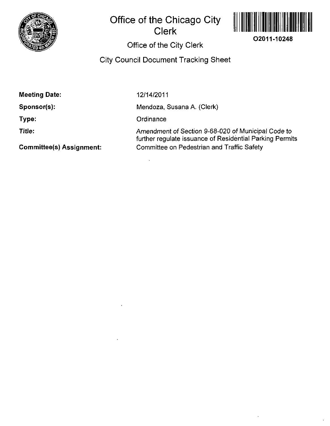

## **Office of the Chicago City Clerk**



# **Office of the City Clerk**

## **City Council Document Tracking Sheet**

| <b>Meeting Date:</b>            | 12/14/2011                                                                                                     |
|---------------------------------|----------------------------------------------------------------------------------------------------------------|
| Sponsor(s):                     | Mendoza, Susana A. (Clerk)                                                                                     |
| Type:                           | Ordinance                                                                                                      |
| Title:                          | Amendment of Section 9-68-020 of Municipal Code to<br>further regulate issuance of Residential Parking Permits |
| <b>Committee(s) Assignment:</b> | Committee on Pedestrian and Traffic Safety                                                                     |